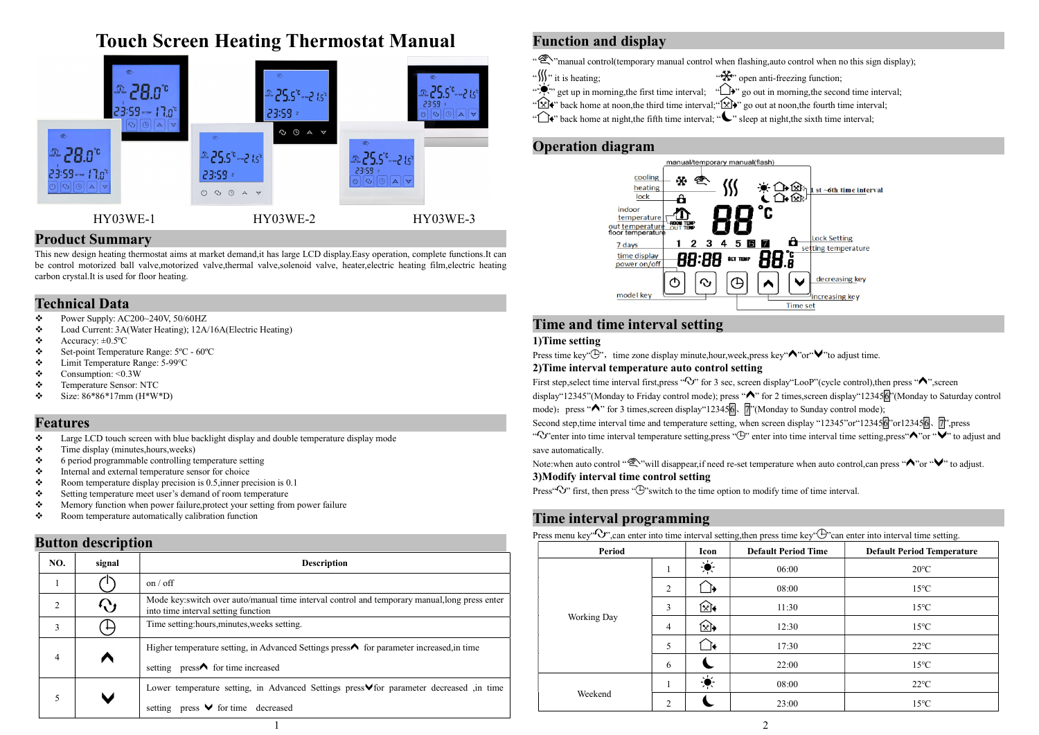# Touch Screen Heating Thermostat Manual



#### Product Summary

This new design heating thermostat aims at market demand,it has large LCD display.Easy operation, complete functions.It can be control motorized ball valve,motorized valve,thermal valve,solenoid valve, heater,electric heating film,electric heating carbon crystal.It is used for floor heating.

### Technical Data

- Power Supply: AC200~240V, 50/60HZ
- Load Current: 3A(Water Heating); 12A/16A(Electric Heating)
- $\div$  Accuracy:  $\pm 0.5$ °C
- Set-point Temperature Range: 5ºC 60ºC
- Limit Temperature Range: 5-99℃
- $\div$  Consumption: <0.3W
- $\div$  Temperature Sensor: NTC
- $\div$  Size: 86\*86\*17mm (H\*W\*D)

#### Features

- $\bullet$  Large LCD touch screen with blue backlight display and double temperature display mode
- $\div$  Time display (minutes, hours, weeks)
- $\bullet$  6 period programmable controlling temperature setting<br> $\bullet$  Internal and external temperature sensor for choice
- Internal and external temperature sensor for choice
- Room temperature display precision is  $0.5$ , inner precision is  $0.1$
- $\div$  Setting temperature meet user's demand of room temperature
- Memory function when power failure,protect your setting from power failure
- \* Room temperature automatically calibration function

### Button description

|                |                 |                                                                                                                                      |                    | Period  |          | Icon                 | Defau |
|----------------|-----------------|--------------------------------------------------------------------------------------------------------------------------------------|--------------------|---------|----------|----------------------|-------|
| NO.            | signal          | <b>Description</b>                                                                                                                   |                    |         |          | $\frac{1}{\sqrt{2}}$ |       |
|                |                 | on / off                                                                                                                             |                    |         |          | ∐→                   |       |
| $\overline{2}$ | くい しょうかん しゅうしゅう | Mode key:switch over auto/manual time interval control and temporary manual, long press enter<br>into time interval setting function |                    |         |          | জি∔                  |       |
| 3              |                 | Time setting: hours, minutes, weeks setting.                                                                                         | <b>Working Day</b> | 4       | ি        |                      |       |
|                |                 | Higher temperature setting, in Advanced Settings press $\bigwedge$ for parameter increased, in time                                  |                    |         |          | ∐+                   |       |
| 4              |                 | setting $pres \wedge$ for time increased                                                                                             |                    |         | $\sigma$ |                      |       |
|                | W               | Lower temperature setting, in Advanced Settings press∨for parameter decreased ,in time                                               |                    | Weekend |          | $\bullet$            |       |
|                |                 | setting press $\vee$ for time decreased                                                                                              |                    |         | ∠        |                      |       |
|                |                 |                                                                                                                                      |                    |         |          |                      |       |

## Function and display

".  $\mathcal{L}_{\infty}$ " manual control(temporary manual control when flashing, auto control when no this sign display);

- " $\frac{1}{2}$ " it is heating; "  $\frac{1}{2}$ " open anti-freezing function;
- " $\sum_{i=1}^{\infty}$ " go out in morning, the first time interval; " $\sum_{i=1}^{\infty}$ " go out in morning, the second time interval;
	-
- "<sup>W</sup> back home at noon, the third time interval; "<sup>W</sup> go out at noon, the fourth time interval;
- " $\bigoplus$ " back home at night,the fifth time interval; " $\bigcup$ " sleep at night,the sixth time interval;

### Operation diagram



### Time and time interval setting

#### 1)Time setting

Press time key " $\bigoplus$ ", time zone display minute,hour,week,press key " $\bigwedge$ " or"  $\bigvee$ " to adjust time.

#### 2)Time interval temperature auto control setting

First step, select time interval first, press " $\mathbb{C}$ " for 3 sec, screen display "LooP" (cycle control), then press " $\mathbb{A}$ ", screen display"12345"(Monday to Friday control mode); press " $\bigwedge$ " for 2 times, screen display"1234566"(Monday to Saturday control mode); press "  $\bigwedge$ " for 3 times, screen display "123456,  $\sqrt{7}$ " (Monday to Sunday control mode);

Second step,time interval time and temperature setting, when screen display "12345"or"123456 or123456、 7",press "O" enter into time interval temperature setting press " $\bigoplus$ " enter into time interval time setting, press"  $\bigotimes$ " or " $\bigotimes$ " to adjust and save automatically.

Note:when auto control "  $\mathcal{L}$ " will disappear,if need re-set temperature when auto control,can press "  $\wedge$ " or " $\vee$ " to adjust. 3)Modify interval time control setting

Press  $\sim$  first, then press  $\sim$  "switch to the time option to modify time of time interval.

### Time interval programming

Press menu key" $\overline{O}$ ", can enter into time interval setting, then press time key"  $\overline{O}$ " can enter into interval time setting.

| $\checkmark$<br>Period |                | Icon         | <b>Default Period Time</b> | <b>Default Period Temperature</b> |  |
|------------------------|----------------|--------------|----------------------------|-----------------------------------|--|
|                        | 1              | المطابع<br>零 | 06:00                      | $20^{\circ}$ C                    |  |
|                        | 2              |              | 08:00                      | $15^{\circ}$ C                    |  |
|                        | 3              | ি≹           | 11:30                      | $15^{\circ}$ C                    |  |
| <b>Working Day</b>     | $\overline{4}$ | ি।           | 12:30                      | $15^{\circ}$ C                    |  |
|                        | 5              |              | 17:30                      | $22^{\circ}$ C                    |  |
|                        | 6              |              | 22:00                      | $15^{\circ}$ C                    |  |
|                        | $\mathbf{I}$   | ۰k<br>零      | 08:00                      | $22^{\circ}$ C                    |  |
| Weekend                | 2              |              | 23:00                      | $15^{\circ}$ C                    |  |